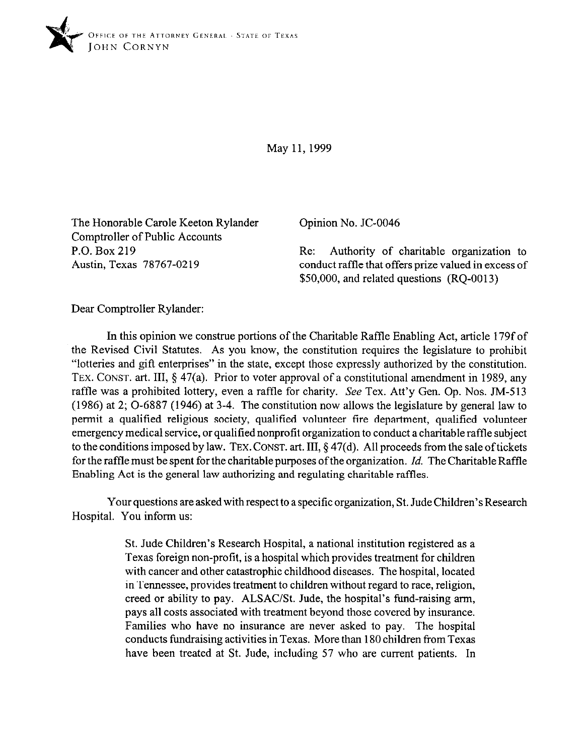

May 11,1999

The Honorable Carole Keeton Rylander Comptroller of Public Accounts P.O. Box 219 Austin, Texas 78767-0219

Opinion No. JC-0046

Re: Authority of charitable organization to conduct raffle that offers prize valued in excess of \$50,000, and related questions (RQ-0013)

Dear Comptroller Rylander:

In this opinion we construe portions of the Charitable Raffle Enabling Act, article 179f of the Revised Civil Statutes. As you know, the constitution requires the legislature to prohibit "lotteries and gift enterprises" in the state, except those expressly authorized by the constitution. TEX. CONST. art. III, § 47(a). Prior to voter approval of a constitutional amendment in 1989, any raffle was a prohibited lottery, even a raffle for charity. See Tex. Att'y Gen. Op. Nos. JM-513 (1986) at 2; O-6887 (1946) at 3-4. The constitution now allows the legislature by general law to permit a qualified religious society, qualified volunteer fire department, qualified volunteer emergency medical service, or qualified nonprofit organization to conduct a charitable raffle subject to the conditions imposed by law. **TEX. CONST.** art. III, § 47(d). All proceeds from the sale oftickets for the raffle must be spent for the charitable purposes of the organization. *Id.* The Charitable Raffle Enabling Act is the general law authorizing and regulating charitable raffles.

Your questions are asked with respect to a specific organization, St. Jude Children's Research Hospital. You inform us:

> St. Jude Children's Research Hospital, a national institution registered as a Texas foreign non-profit, is a hospital which provides treatment for children with cancer and other catastrophic childhood diseases. The hospital, located in Tennessee, provides treatment to children without regard to race, religion, creed or ability to pay. ALSAC/St. Jude, the hospital's fund-raising arm, pays all costs associated with treatment beyond those covered by insurance. Families who have no insurance are never asked to pay. The hospital conducts fundraising activities in Texas. More than 180 children from Texas have been treated at St. Jude, including 57 who are current patients. In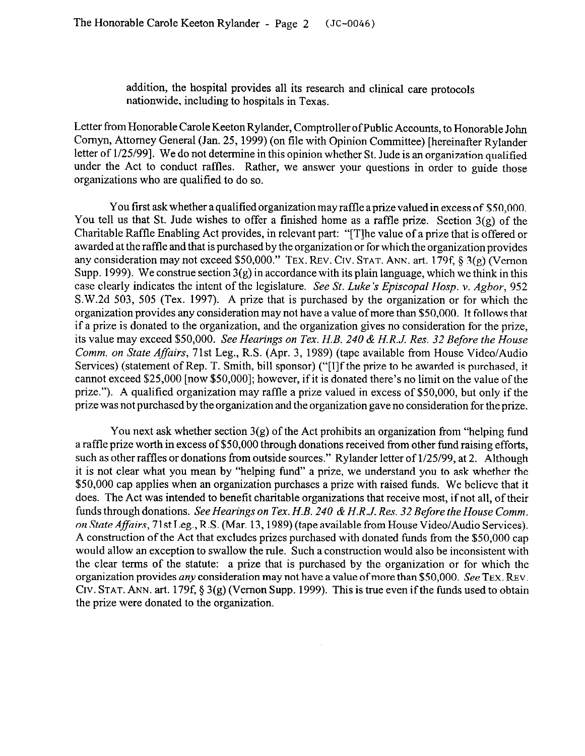addition, the hospital provides all its research and clinical care protocols nationwide, including to hospitals in Texas.

Letter from Honorable Carole Keeton Rylander, Comptroller ofPublic Accounts, to Honorable John Comyn, Attorney General (Jan. 25, 1999) (on file with Opinion Committee) [hereinafter Rylandcr letter of l/25/99]. We do not determine in this opinion whether St. Jude is an organization qualified under the Act to conduct raffles. Rather, we answer your questions in order to guide those organizations who are qualified to do so.

You first ask whether a qualified organization may raffle a prize valued in excess of \$50,000. You tell us that St. Jude wishes to offer a finished home as a raffle prize. Section 3(g) of the Charitable Raffle Enabling Act provides, in relevant part: "[Tlhe value of a prize that is offered or awarded at the raffle and that is purchased by the organization or for which the organization provides any consideration may not exceed \$50,000." TEX. REV. CIV. STAT. ANN. art. 179f, § 3(g) (Vernon Supp. 1999). We construe section  $3(g)$  in accordance with its plain language, which we think in this case clearly indicates the intent of the legislature. *See St. Luke's Episcopal Hosp. v. Agbor, 952*  S.W.2d 503, 505 (Tex. 1997). A prize that is purchased by the organization or for which the organization provides any consideration may not have a value of more than \$50,000. It follows that if a prize is donated to the organization, and the organization gives no consideration for the prize, its value may exceed *\$50,000. See Hearings on Tex. H.B. 240 & H.R.J. Res. 32 Before the House*  Comm. on *State Affairs,* 71st Leg., R.S. (Apr. 3, 1989) (tape available from House Video/Audio Services) (statement of Rep. T. Smith, bill sponsor) ("[IIf the prize to be awarded is purchased, it cannot exceed \$25,000 [now \$50,000]; however, if it is donated there's no limit on the value of the prize."). A qualified organization may raffle a prize valued in excess of \$50,000, but only if the prize was not purchased by the organization and the organization gave no consideration for the prize.

You next ask whether section 3(g) of the Act prohibits an organization from "helping fund a raffle prize worth in excess of \$50,000 through donations received from other fund raising efforts, such as other raffles or donations from outside sources." Rylander letter of l/25/99, at 2. Although it is not clear what you mean by "helping fund" a prize, we understand you to ask whether the \$50,000 cap applies when an organization purchases a prize with raised funds. We believe that it does. The Act was intended to benefit charitable organizations that receive most, if not all, of their funds through donations. *See Hearings on Tex. H.B. 240 & H.R.J. Res. 32 Before the House Comm. on State Affairs,* 71st Leg., R.S. (Mar. 13,1989) (tape available from House Video/Audio Services). A construction of the Act that excludes prizes purchased with donated funds from the \$50,000 cap would allow an exception to swallow the rule. Such a construction would also be inconsistent with the clear terms of the statute: a prize that is purchased by the organization or for which the organization provides *any* consideration may not have a value ofmore than \$50,000. See **TEX. REV. Crv. STAT. ANN.** art. 179f, 3 3(g) (Vernon Supp. 1999). This is true even ifthe funds used to obtain the prize were donated to the organization.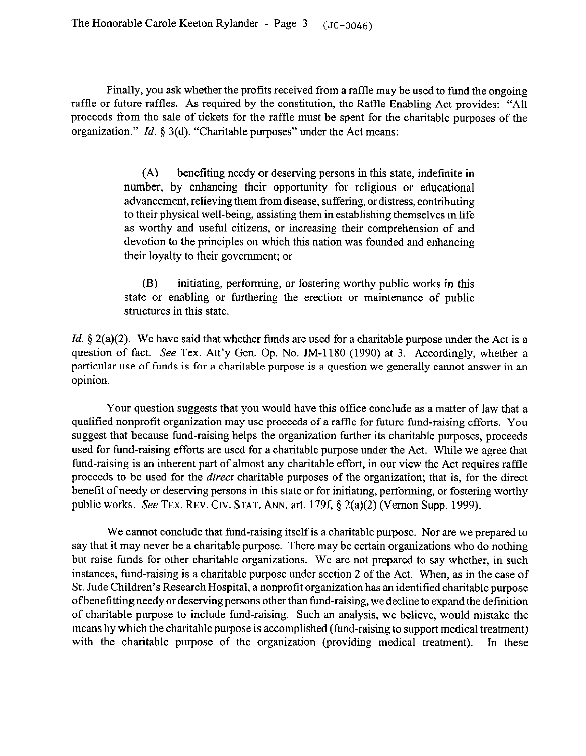Finally, you ask whether the profits received from a raffle may be used to fund the ongoing raffle or future raffles. As required by the constitution, the Raffle Enabling Act provides: "All proceeds from the sale of tickets for the raffle must be spent for the charitable purposes of the organization." *Id.* 5 3(d). "Charitable purposes" under the Act means:

> (A) benefiting needy or deserving persons in this state, indefinite in number, by enhancing their opportunity for religious or educational advancement, relieving them from disease, suffering, or distress, contributing to their physical well-being, assisting them in establishing themselves in life as worthy and useful citizens, or increasing their comprehension of and devotion to the principles on which this nation was founded and enhancing their loyalty to their government; or

> (B) initiating, performing, or fostering worthy public works in this state or enabling or furthering the erection or maintenance of public structures in this state.

*Id.* § 2(a)(2). We have said that whether funds are used for a charitable purpose under the Act is a question of fact. See Tex. Att'y Gen. Op. No. JM-1180 (1990) at 3. Accordingly, whether a particular use of funds is for a charitable purpose is a question we generally cannot answer in an opinion.

Your question suggests that you would have this office conclude as a matter of law that a qualified nonprofit organization may use proceeds of a raffle for future fund-raising efforts. You suggest that because fund-raising helps the organization further its charitable purposes, proceeds used for fund-raising efforts are used for a charitable purpose under the Act. While we agree that fund-raising is an inherent part of almost any charitable effort, in our view the Act requires raffle proceeds to be used for the *direct* charitable purposes of the organization; that is, for the direct benefit of needy or deserving persons in this state or for initiating, performing, or fostering worthy public works. See **TEX.** REV. CIV. **STAT. ANN.** art. 179f, 5 2(a)(2) (Vernon Supp. 1999).

We cannot conclude that fund-raising itself is a charitable purpose. Nor are we prepared to say that it may never be a charitable purpose. There may be certain organizations who do nothing but raise funds for other charitable organizations. We are not prepared to say whether, in such instances, fund-raising is a charitable purpose under section 2 of the Act. When, as in the case of St. Jude Children's Research Hospital, a nonprofit organization has an identified charitable purpose ofbenefitting needy or deserving persons other than fund-raising, we decline to expand the definition of charitable purpose to include fund-raising. Such an analysis, we believe, would mistake the means by which the charitable purpose is accomplished (fund-raising to support medical treatment) with the charitable purpose of the organization (providing medical treatment). In these with the charitable purpose of the organization (providing medical treatment).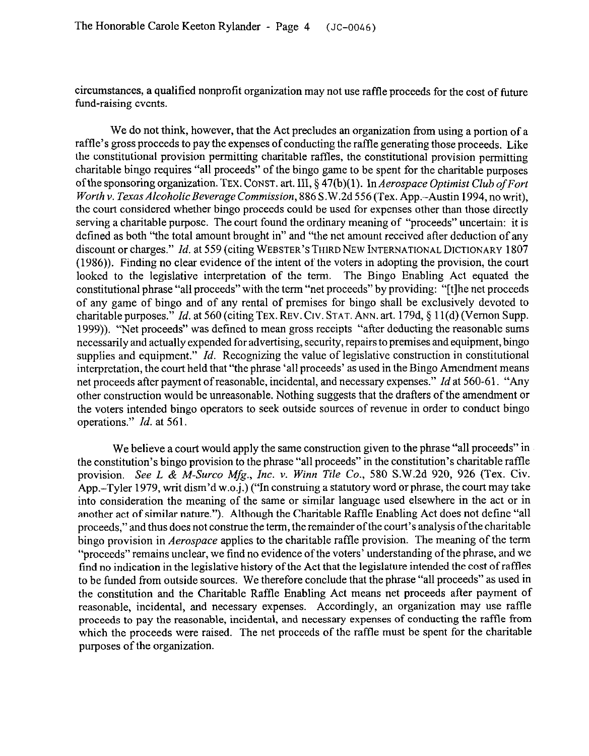circumstances, a qualified nonprofit organization may not use raffle proceeds for the cost of future fund-raising events.

We do not think, however, that the Act precludes an organization from using a portion of a raffle's gross proceeds to pay the expenses of conducting the raffle generating those proceeds. Like the constitutional provision permitting charitable raffles, the constitutional provision permitting charitable bingo requires "all proceeds" of the bingo game to be spent for the charitable purposes ofthe sponsoring organization. **TEX. CONST.** art. *III, §* 47(b)(l). In *Aerospace Optimist Club ofFort Worth v. Texas AlcoholicBeverage Commission,* 886 S.W.2d 556 (Tex. App.-Austin 1994, no writ), the court considered whether bingo proceeds could be used for expenses other than those directly serving a charitable purpose. The court found the ordinary meaning of "proceeds" uncertain: it is defined as both "the total amount brought in" and "the net amount received after deduction of any discount or charges." *Id.* at 559 (citing **WEBSTER'S THIRD NEW INTERNATIONAL DICTIONARY 1807**  (1986)). Finding no clear evidence of the intent of the voters in adopting the provision, the court looked to the legislative interpretation of the term. The Bingo Enabling Act equated the constitutional phrase "all proceeds" with the term "net proceeds" by providing: "[tlhe net proceeds of any game of bingo and of any rental of premises for bingo shall be exclusively devoted to charitable purposes." *Id.* at 560 (citing TEX. REV. CIV. STAT. ANN. art. 179d, § 11(d) (Vernon Supp. 1999)). "Net proceeds" was defined to mean gross receipts "after deducting the reasonable sums necessarily and actually expended for advertising, security, repairs to premises and equipment, bingo supplies and equipment." *Id.* Recognizing the value of legislative construction in constitutional interpretation, the court held that "the phrase 'all proceeds' as used in the Bingo Amendment means net proceeds after payment of reasonable, incidental, and necessary expenses." *Id* at 560-6 1. "Any other construction would be unreasonable. Nothing suggests that the drafters of the amendment or the voters intended bingo operators to seek outside sources of revenue in order to conduct bingo operations." *Id.* at 561.

We believe a court would apply the same construction given to the phrase "all proceeds" in the constitution's bingo provision to the phrase "all proceeds" in the constitution's charitable raffle provision. *See L & M-Surco Mfg., Inc. v. Winn Tile Co., 580* S.W.2d 920, 926 (Tex. Civ. App.-Tyler 1979, writ dism'd w.o.j.) ("In construing a statutory word or phrase, the court may take into consideration the meaning of the same or similar language used elsewhere in the act or in another act of similar nature."). Although the Charitable Raffle Enabling Act does not define "all proceeds," and thus does not construe the term, the remainder ofthe court's analysis ofthe charitable bingo provision in *Aerospace* applies to the charitable raffle provision. The meaning of the term "proceeds" remains unclear, we find no evidence of the voters' understanding of the phrase, and we find no indication in the legislative history of the Act that the legislature intended the cost of raffles to be funded from outside sources. We therefore conclude that the phrase "all proceeds" as used in the constitution and the Charitable Raffle Enabling Act means net proceeds after payment of reasonable, incidental, and necessary expenses. Accordingly, an organization may use raffle proceeds to pay the reasonable, incidental, and necessary expenses of conducting the raffle from which the proceeds were raised. The net proceeds of the raffle must be spent for the charitable purposes of the organization.